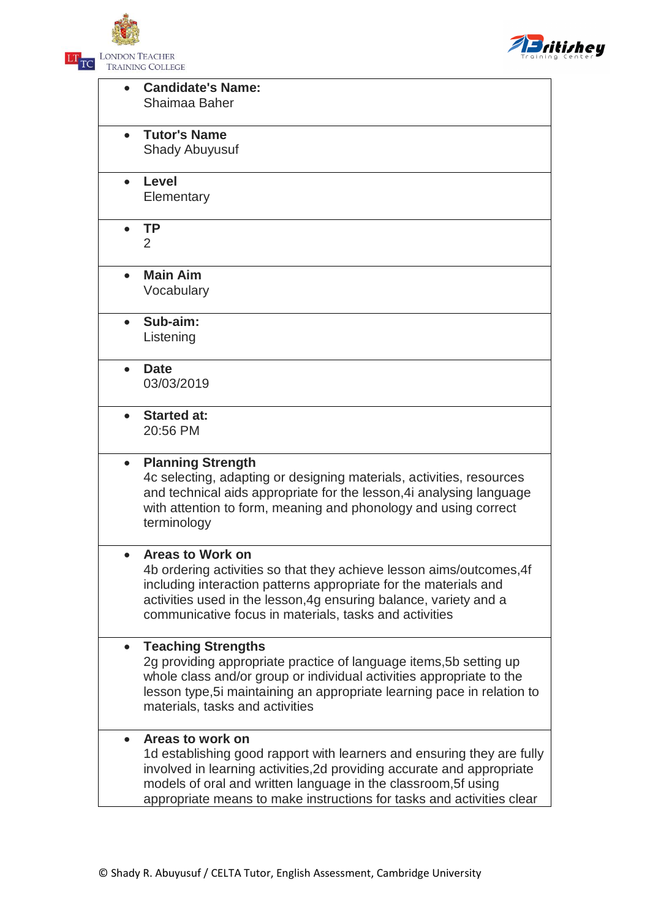



|           | <b>Candidate's Name:</b><br>Shaimaa Baher                                                                                                                                                                                                                                                                       |
|-----------|-----------------------------------------------------------------------------------------------------------------------------------------------------------------------------------------------------------------------------------------------------------------------------------------------------------------|
|           | <b>Tutor's Name</b><br><b>Shady Abuyusuf</b>                                                                                                                                                                                                                                                                    |
| $\bullet$ | <b>Level</b><br>Elementary                                                                                                                                                                                                                                                                                      |
|           | <b>TP</b><br>2                                                                                                                                                                                                                                                                                                  |
|           | <b>Main Aim</b><br>Vocabulary                                                                                                                                                                                                                                                                                   |
|           | Sub-aim:<br>Listening                                                                                                                                                                                                                                                                                           |
| $\bullet$ | <b>Date</b><br>03/03/2019                                                                                                                                                                                                                                                                                       |
| $\bullet$ | <b>Started at:</b><br>20:56 PM                                                                                                                                                                                                                                                                                  |
| $\bullet$ | <b>Planning Strength</b><br>4c selecting, adapting or designing materials, activities, resources<br>and technical aids appropriate for the lesson, 4 analysing language<br>with attention to form, meaning and phonology and using correct<br>terminology                                                       |
|           | Areas to Work on<br>4b ordering activities so that they achieve lesson aims/outcomes, 4f<br>including interaction patterns appropriate for the materials and<br>activities used in the lesson, 4g ensuring balance, variety and a<br>communicative focus in materials, tasks and activities                     |
| $\bullet$ | <b>Teaching Strengths</b><br>2g providing appropriate practice of language items, 5b setting up<br>whole class and/or group or individual activities appropriate to the<br>lesson type, 5i maintaining an appropriate learning pace in relation to<br>materials, tasks and activities                           |
| $\bullet$ | Areas to work on<br>1d establishing good rapport with learners and ensuring they are fully<br>involved in learning activities, 2d providing accurate and appropriate<br>models of oral and written language in the classroom, 5f using<br>appropriate means to make instructions for tasks and activities clear |